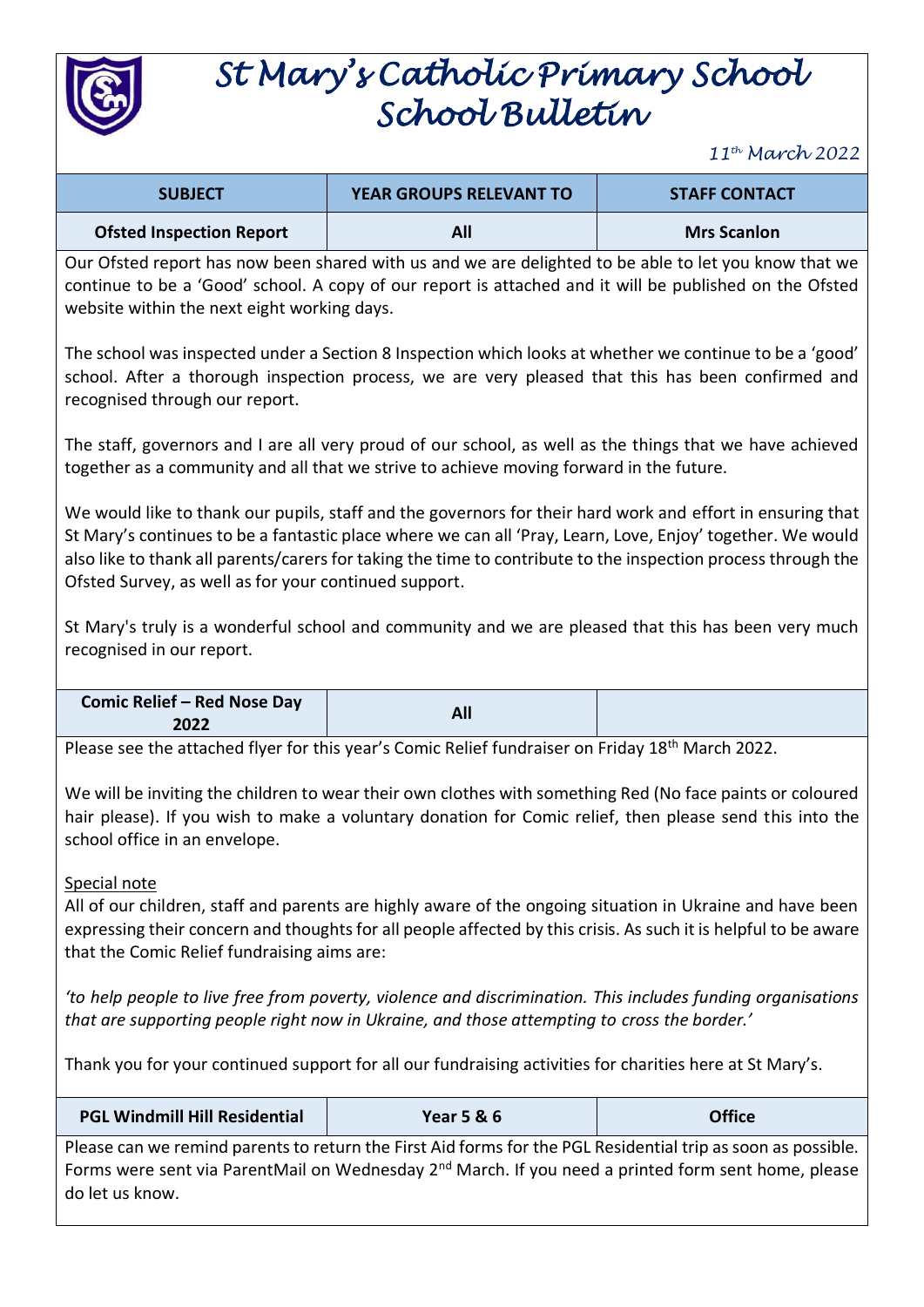

## *St Mary's Catholic Primary School School Bulletin*

*11th March 2022*

| <b>SUBJECT</b>                  | <b>YEAR GROUPS RELEVANT TO</b> | <b>STAFF CONTACT</b> |
|---------------------------------|--------------------------------|----------------------|
| <b>Ofsted Inspection Report</b> |                                | <b>Mrs Scanlon</b>   |

Our Ofsted report has now been shared with us and we are delighted to be able to let you know that we continue to be a 'Good' school. A copy of our report is attached and it will be published on the Ofsted website within the next eight working days.

The school was inspected under a Section 8 Inspection which looks at whether we continue to be a 'good' school. After a thorough inspection process, we are very pleased that this has been confirmed and recognised through our report.

The staff, governors and I are all very proud of our school, as well as the things that we have achieved together as a community and all that we strive to achieve moving forward in the future.

We would like to thank our pupils, staff and the governors for their hard work and effort in ensuring that St Mary's continues to be a fantastic place where we can all 'Pray, Learn, Love, Enjoy' together. We would also like to thank all parents/carers for taking the time to contribute to the inspection process through the Ofsted Survey, as well as for your continued support.

St Mary's truly is a wonderful school and community and we are pleased that this has been very much recognised in our report.

| <b>Comic Relief - Red Nose Day</b><br>2022 | All |  |
|--------------------------------------------|-----|--|
|                                            |     |  |

Please see the attached flyer for this year's Comic Relief fundraiser on Friday 18<sup>th</sup> March 2022.

We will be inviting the children to wear their own clothes with something Red (No face paints or coloured hair please). If you wish to make a voluntary donation for Comic relief, then please send this into the school office in an envelope.

## Special note

All of our children, staff and parents are highly aware of the ongoing situation in Ukraine and have been expressing their concern and thoughts for all people affected by this crisis. As such it is helpful to be aware that the Comic Relief fundraising aims are:

*'to help people to live free from poverty, violence and discrimination. This includes funding organisations that are supporting people right now in Ukraine, and those attempting to cross the border.'*

Thank you for your continued support for all our fundraising activities for charities here at St Mary's.

| <b>PGL Windmill Hill Residential</b> | <b>Year 5 &amp; 6</b>                                                                                                                                                                                                           | <b>Office</b> |
|--------------------------------------|---------------------------------------------------------------------------------------------------------------------------------------------------------------------------------------------------------------------------------|---------------|
| do let us know.                      | Please can we remind parents to return the First Aid forms for the PGL Residential trip as soon as possible.<br>Forms were sent via ParentMail on Wednesday 2 <sup>nd</sup> March. If you need a printed form sent home, please |               |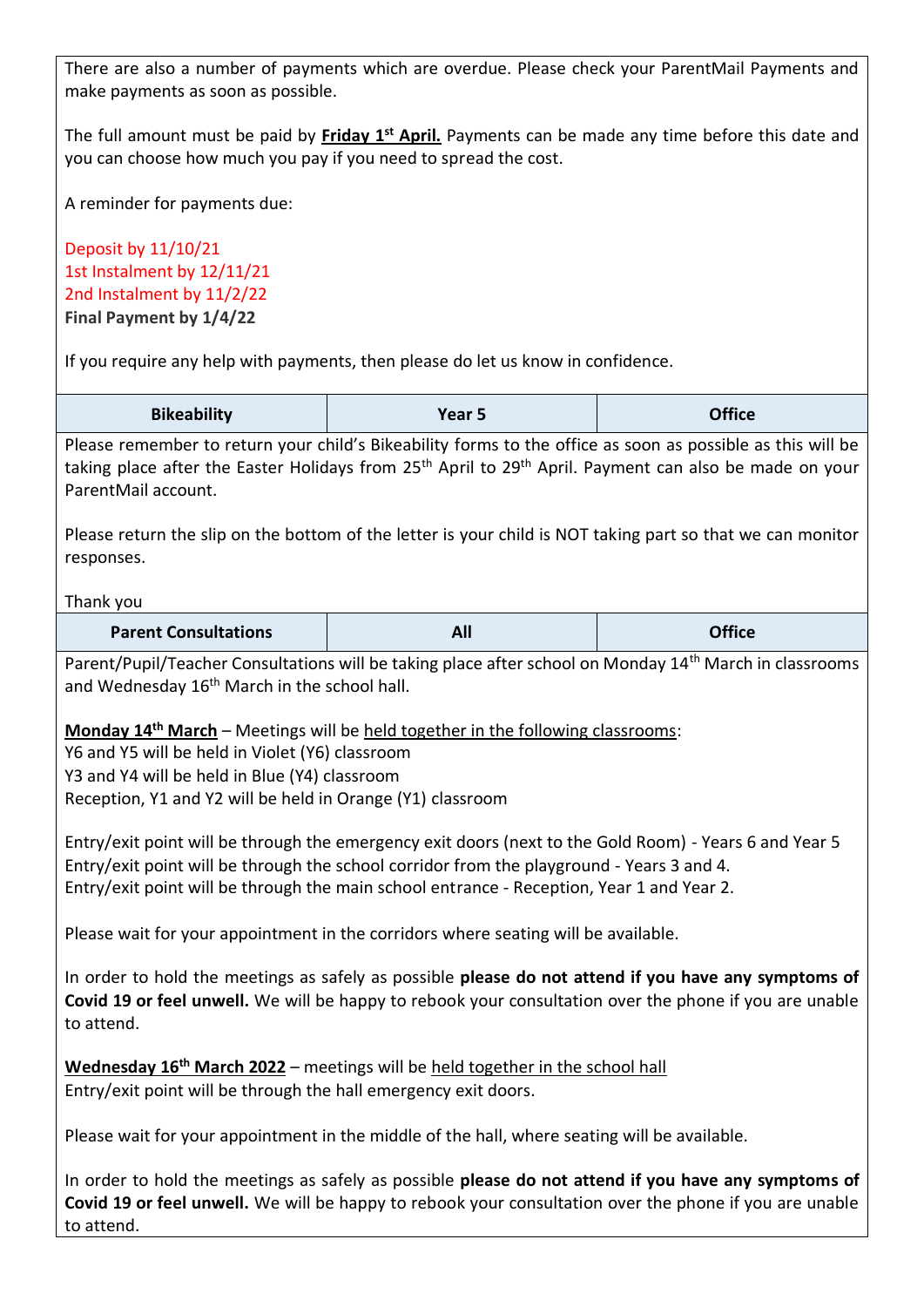There are also a number of payments which are overdue. Please check your ParentMail Payments and make payments as soon as possible.

The full amount must be paid by **Friday 1st April.** Payments can be made any time before this date and you can choose how much you pay if you need to spread the cost.

A reminder for payments due:

Deposit by 11/10/21 1st Instalment by 12/11/21 2nd Instalment by 11/2/22 **Final Payment by 1/4/22**

If you require any help with payments, then please do let us know in confidence.

| <b>Bikeability</b> | Year 5 | <b>Office</b> |
|--------------------|--------|---------------|
|--------------------|--------|---------------|

Please remember to return your child's Bikeability forms to the office as soon as possible as this will be taking place after the Easter Holidays from 25<sup>th</sup> April to 29<sup>th</sup> April. Payment can also be made on your ParentMail account.

Please return the slip on the bottom of the letter is your child is NOT taking part so that we can monitor responses.

## Thank you

| <b>Parent Consultations</b> | $\mathbf{A}$ $\mathbf{P}$<br>- 11 | <b>Office</b> |
|-----------------------------|-----------------------------------|---------------|
|-----------------------------|-----------------------------------|---------------|

Parent/Pupil/Teacher Consultations will be taking place after school on Monday 14<sup>th</sup> March in classrooms and Wednesday 16<sup>th</sup> March in the school hall.

**Monday 14th March** – Meetings will be held together in the following classrooms:

Y6 and Y5 will be held in Violet (Y6) classroom Y3 and Y4 will be held in Blue (Y4) classroom Reception, Y1 and Y2 will be held in Orange (Y1) classroom

Entry/exit point will be through the emergency exit doors (next to the Gold Room) - Years 6 and Year 5 Entry/exit point will be through the school corridor from the playground - Years 3 and 4. Entry/exit point will be through the main school entrance - Reception, Year 1 and Year 2.

Please wait for your appointment in the corridors where seating will be available.

In order to hold the meetings as safely as possible **please do not attend if you have any symptoms of Covid 19 or feel unwell.** We will be happy to rebook your consultation over the phone if you are unable to attend.

**Wednesday 16th March 2022** – meetings will be held together in the school hall Entry/exit point will be through the hall emergency exit doors.

Please wait for your appointment in the middle of the hall, where seating will be available.

In order to hold the meetings as safely as possible **please do not attend if you have any symptoms of Covid 19 or feel unwell.** We will be happy to rebook your consultation over the phone if you are unable to attend.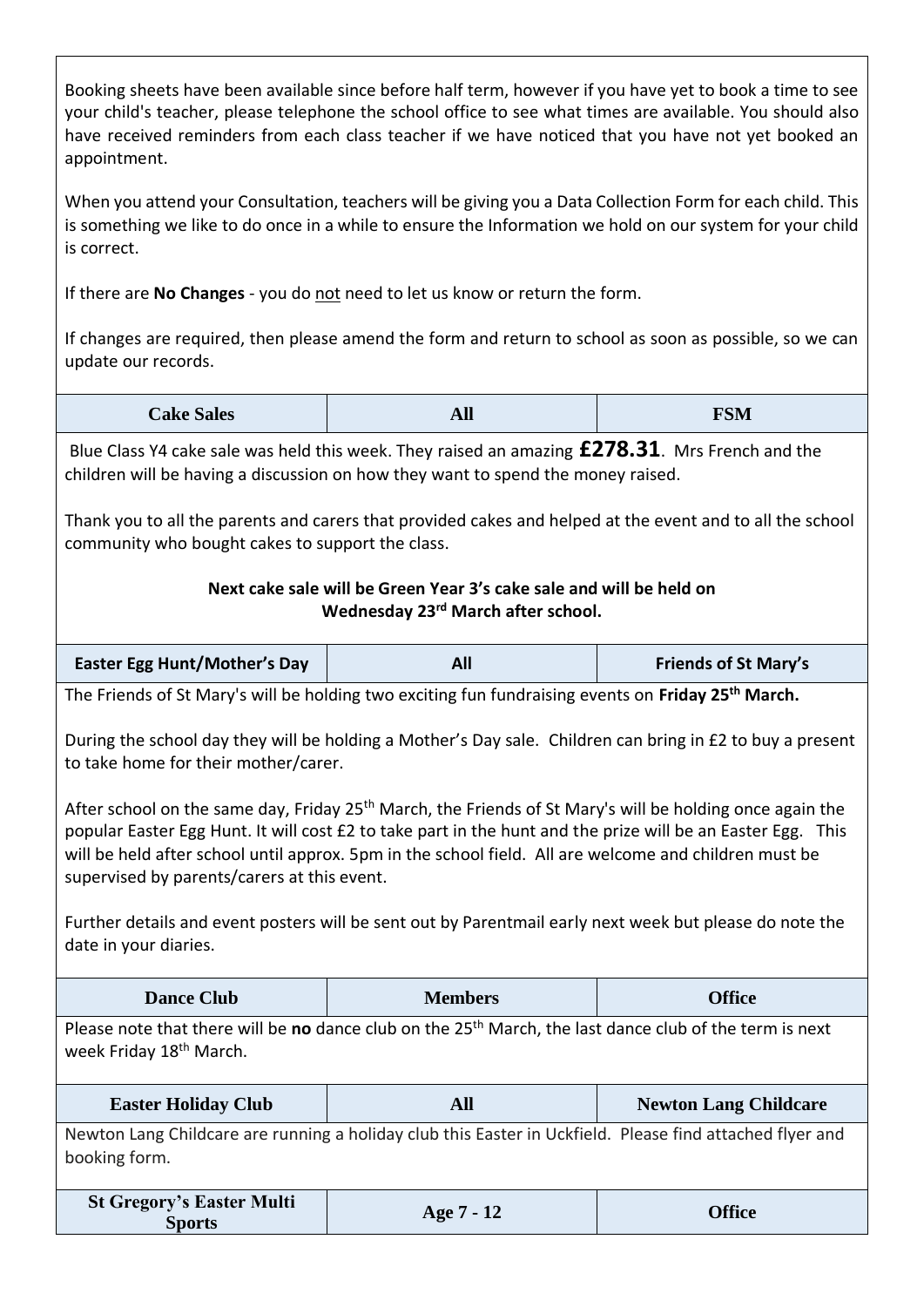| appointment.                                                                                                                                                                                                                                                                                                                                                                                | Booking sheets have been available since before half term, however if you have yet to book a time to see<br>your child's teacher, please telephone the school office to see what times are available. You should also<br>have received reminders from each class teacher if we have noticed that you have not yet booked an |                              |  |
|---------------------------------------------------------------------------------------------------------------------------------------------------------------------------------------------------------------------------------------------------------------------------------------------------------------------------------------------------------------------------------------------|-----------------------------------------------------------------------------------------------------------------------------------------------------------------------------------------------------------------------------------------------------------------------------------------------------------------------------|------------------------------|--|
| is correct.                                                                                                                                                                                                                                                                                                                                                                                 | When you attend your Consultation, teachers will be giving you a Data Collection Form for each child. This<br>is something we like to do once in a while to ensure the Information we hold on our system for your child                                                                                                     |                              |  |
|                                                                                                                                                                                                                                                                                                                                                                                             | If there are No Changes - you do not need to let us know or return the form.                                                                                                                                                                                                                                                |                              |  |
| update our records.                                                                                                                                                                                                                                                                                                                                                                         | If changes are required, then please amend the form and return to school as soon as possible, so we can                                                                                                                                                                                                                     |                              |  |
| <b>Cake Sales</b>                                                                                                                                                                                                                                                                                                                                                                           | <b>All</b>                                                                                                                                                                                                                                                                                                                  | <b>FSM</b>                   |  |
|                                                                                                                                                                                                                                                                                                                                                                                             | Blue Class Y4 cake sale was held this week. They raised an amazing £278.31. Mrs French and the<br>children will be having a discussion on how they want to spend the money raised.                                                                                                                                          |                              |  |
| community who bought cakes to support the class.                                                                                                                                                                                                                                                                                                                                            | Thank you to all the parents and carers that provided cakes and helped at the event and to all the school                                                                                                                                                                                                                   |                              |  |
|                                                                                                                                                                                                                                                                                                                                                                                             | Next cake sale will be Green Year 3's cake sale and will be held on<br>Wednesday 23rd March after school.                                                                                                                                                                                                                   |                              |  |
| <b>Easter Egg Hunt/Mother's Day</b><br>All<br><b>Friends of St Mary's</b>                                                                                                                                                                                                                                                                                                                   |                                                                                                                                                                                                                                                                                                                             |                              |  |
|                                                                                                                                                                                                                                                                                                                                                                                             | The Friends of St Mary's will be holding two exciting fun fundraising events on Friday 25 <sup>th</sup> March.                                                                                                                                                                                                              |                              |  |
| to take home for their mother/carer.                                                                                                                                                                                                                                                                                                                                                        | During the school day they will be holding a Mother's Day sale. Children can bring in £2 to buy a present                                                                                                                                                                                                                   |                              |  |
| After school on the same day, Friday 25 <sup>th</sup> March, the Friends of St Mary's will be holding once again the<br>popular Easter Egg Hunt. It will cost £2 to take part in the hunt and the prize will be an Easter Egg. This<br>will be held after school until approx. 5pm in the school field. All are welcome and children must be<br>supervised by parents/carers at this event. |                                                                                                                                                                                                                                                                                                                             |                              |  |
| Further details and event posters will be sent out by Parentmail early next week but please do note the<br>date in your diaries.                                                                                                                                                                                                                                                            |                                                                                                                                                                                                                                                                                                                             |                              |  |
| <b>Dance Club</b>                                                                                                                                                                                                                                                                                                                                                                           | <b>Members</b>                                                                                                                                                                                                                                                                                                              | <b>Office</b>                |  |
| Please note that there will be no dance club on the 25 <sup>th</sup> March, the last dance club of the term is next<br>week Friday 18 <sup>th</sup> March.                                                                                                                                                                                                                                  |                                                                                                                                                                                                                                                                                                                             |                              |  |
|                                                                                                                                                                                                                                                                                                                                                                                             |                                                                                                                                                                                                                                                                                                                             |                              |  |
| <b>Easter Holiday Club</b>                                                                                                                                                                                                                                                                                                                                                                  | <b>All</b>                                                                                                                                                                                                                                                                                                                  | <b>Newton Lang Childcare</b> |  |
| booking form.                                                                                                                                                                                                                                                                                                                                                                               | Newton Lang Childcare are running a holiday club this Easter in Uckfield. Please find attached flyer and                                                                                                                                                                                                                    |                              |  |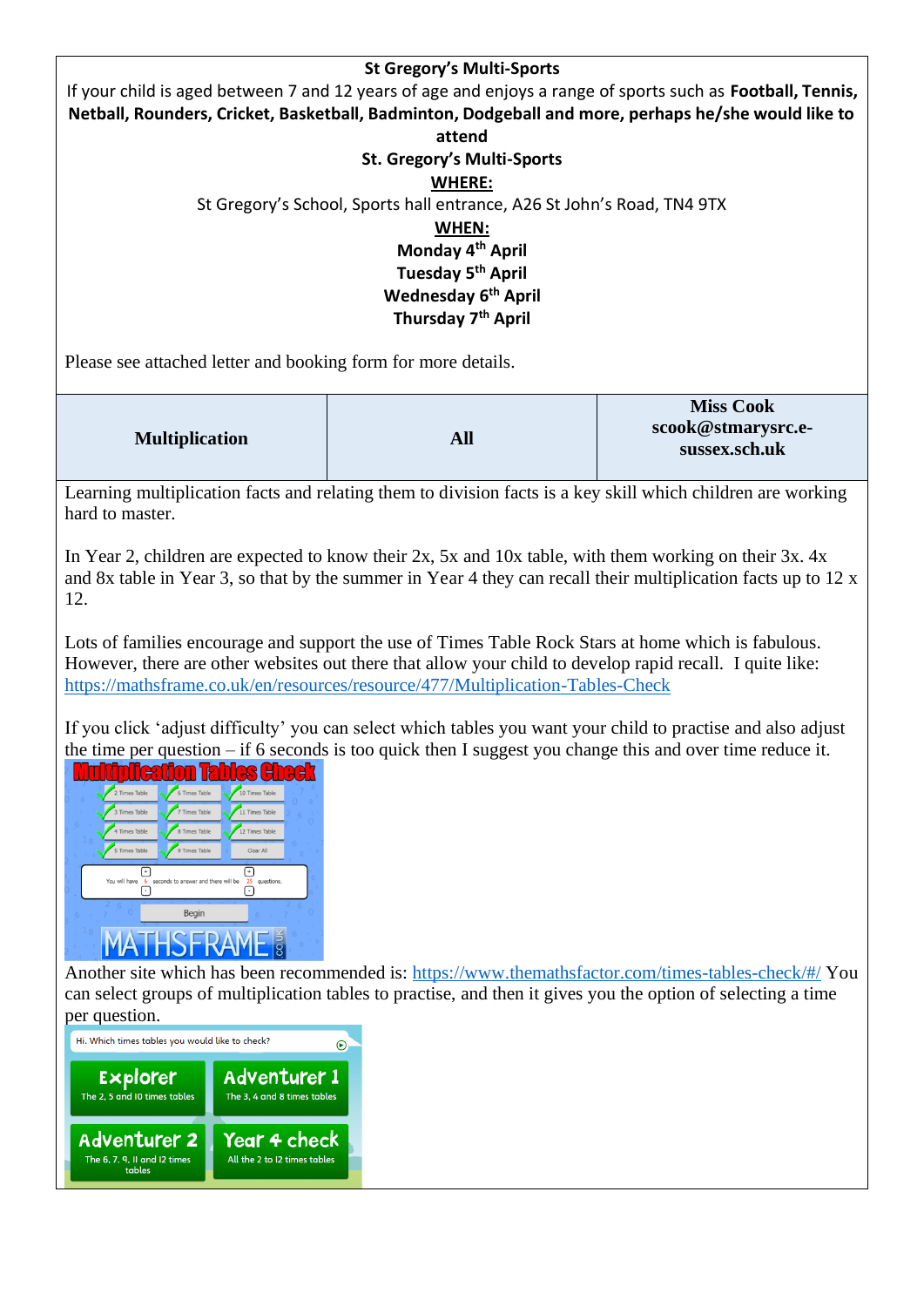| <b>St Gregory's Multi-Sports</b>                                                                           |
|------------------------------------------------------------------------------------------------------------|
| If your child is aged between 7 and 12 years of age and enjoys a range of sports such as Football, Tennis, |
| Netball, Rounders, Cricket, Basketball, Badminton, Dodgeball and more, perhaps he/she would like to        |
| attend                                                                                                     |
| <b>St. Gregory's Multi-Sports</b>                                                                          |
| <b>WHERE:</b>                                                                                              |
| St Gregory's School, Sports hall entrance, A26 St John's Road, TN4 9TX                                     |
| WHEN:                                                                                                      |
| Monday 4 <sup>th</sup> April                                                                               |
| Tuesday 5 <sup>th</sup> April                                                                              |
| <b>Wednesday 6th April</b>                                                                                 |
| Thursday 7 <sup>th</sup> April                                                                             |
|                                                                                                            |

Please see attached letter and booking form for more details.

|                       |     | <b>Miss Cook</b>   |
|-----------------------|-----|--------------------|
| <b>Multiplication</b> | All | scook@stmarysrc.e- |
|                       |     | sussex.sch.uk      |

Learning multiplication facts and relating them to division facts is a key skill which children are working hard to master.

In Year 2, children are expected to know their 2x, 5x and 10x table, with them working on their 3x. 4x and 8x table in Year 3, so that by the summer in Year 4 they can recall their multiplication facts up to 12 x 12.

Lots of families encourage and support the use of Times Table Rock Stars at home which is fabulous. However, there are other websites out there that allow your child to develop rapid recall. I quite like: <https://mathsframe.co.uk/en/resources/resource/477/Multiplication-Tables-Check>

If you click 'adjust difficulty' you can select which tables you want your child to practise and also adjust the time per question – if 6 seconds is too quick then I suggest you change this and over time reduce it.



Another site which has been recommended is:<https://www.themathsfactor.com/times-tables-check/#/> You can select groups of multiplication tables to practise, and then it gives you the option of selecting a time per question.

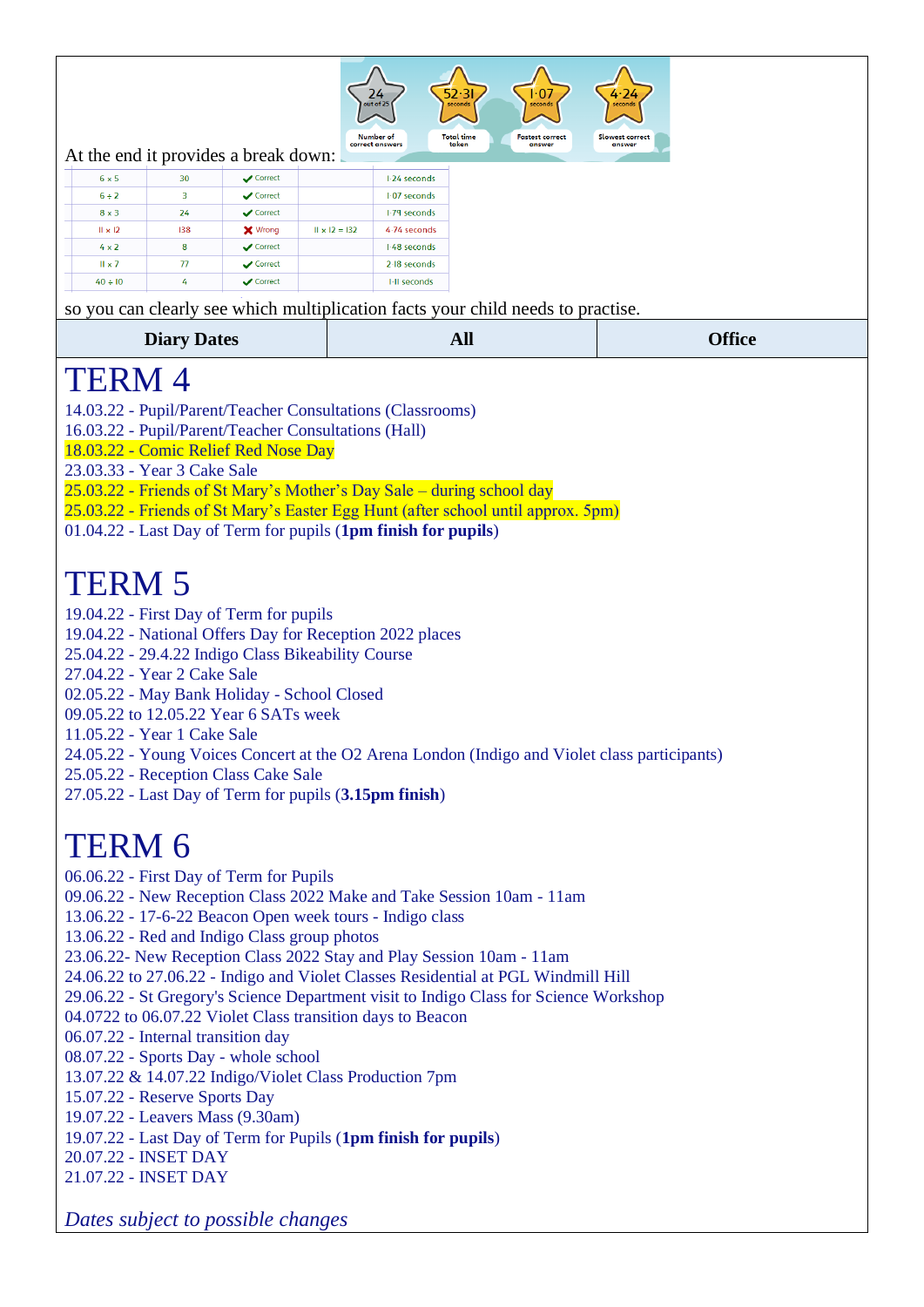

At the end it provides a break down:

| $6 \times 5$   | 30  | $\sqrt{\phantom{a}}$ Correct |                      | 1.24 seconds   |
|----------------|-----|------------------------------|----------------------|----------------|
| $6 + 2$        | 3   | $\sqrt{\phantom{a}}$ Correct |                      | $1.07$ seconds |
| $8 \times 3$   | 24  | $\sqrt{\phantom{a}}$ Correct |                      | 1.79 seconds   |
| $II \times I2$ | 138 | <b>X</b> Wrong               | $   \times  2 =  32$ | 4.74 seconds   |
| $4 \times 2$   | 8   | $\sqrt{\phantom{a}}$ Correct |                      | 1.48 seconds   |
| $II \times 7$  | 77  | $\sqrt{\phantom{a}}$ Correct |                      | $2-18$ seconds |
| $40 \div 10$   | 4   | $\sqrt{\phantom{a}}$ Correct |                      | I-II seconds   |

so you can clearly see which multiplication facts your child needs to practise

|                                                                       | so you can crearly see which mumpheation facts your child needs to practise.                  |               |
|-----------------------------------------------------------------------|-----------------------------------------------------------------------------------------------|---------------|
| <b>Diary Dates</b>                                                    | <b>All</b>                                                                                    | <b>Office</b> |
| TERM 4                                                                |                                                                                               |               |
| 14.03.22 - Pupil/Parent/Teacher Consultations (Classrooms)            |                                                                                               |               |
| 16.03.22 - Pupil/Parent/Teacher Consultations (Hall)                  |                                                                                               |               |
| 18.03.22 - Comic Relief Red Nose Day                                  |                                                                                               |               |
| 23.03.33 - Year 3 Cake Sale                                           |                                                                                               |               |
| 25.03.22 - Friends of St Mary's Mother's Day Sale – during school day |                                                                                               |               |
|                                                                       | 25.03.22 - Friends of St Mary's Easter Egg Hunt (after school until approx. 5pm)              |               |
| 01.04.22 - Last Day of Term for pupils (1pm finish for pupils)        |                                                                                               |               |
|                                                                       |                                                                                               |               |
| <b>TERM 5</b>                                                         |                                                                                               |               |
| 19.04.22 - First Day of Term for pupils                               |                                                                                               |               |
| 19.04.22 - National Offers Day for Reception 2022 places              |                                                                                               |               |
| 25.04.22 - 29.4.22 Indigo Class Bikeability Course                    |                                                                                               |               |
| 27.04.22 - Year 2 Cake Sale                                           |                                                                                               |               |
| 02.05.22 - May Bank Holiday - School Closed                           |                                                                                               |               |
| 09.05.22 to 12.05.22 Year 6 SATs week                                 |                                                                                               |               |
| 11.05.22 - Year 1 Cake Sale                                           |                                                                                               |               |
|                                                                       | 24.05.22 - Young Voices Concert at the O2 Arena London (Indigo and Violet class participants) |               |
| 25.05.22 - Reception Class Cake Sale                                  |                                                                                               |               |
| 27.05.22 - Last Day of Term for pupils (3.15pm finish)                |                                                                                               |               |
|                                                                       |                                                                                               |               |
| <b>TERM 6</b>                                                         |                                                                                               |               |
| 06.06.22 - First Day of Term for Pupils                               |                                                                                               |               |
| 09.06.22 - New Reception Class 2022 Make and Take Session 10am - 11am |                                                                                               |               |
| 13.06.22 - 17-6-22 Beacon Open week tours - Indigo class              |                                                                                               |               |
| 13.06.22 - Red and Indigo Class group photos                          |                                                                                               |               |
| 23.06.22- New Reception Class 2022 Stay and Play Session 10am - 11am  |                                                                                               |               |

- 24.06.22 to 27.06.22 Indigo and Violet Classes Residential at PGL Windmill Hill
- 29.06.22 St Gregory's Science Department visit to Indigo Class for Science Workshop
- 04.0722 to 06.07.22 Violet Class transition days to Beacon
- 06.07.22 Internal transition day
- 08.07.22 Sports Day whole school
- 13.07.22 & 14.07.22 Indigo/Violet Class Production 7pm
- 15.07.22 Reserve Sports Day
- 19.07.22 Leavers Mass (9.30am)
- 19.07.22 Last Day of Term for Pupils (**1pm finish for pupils**)
- 20.07.22 INSET DAY
- 21.07.22 INSET DAY

*Dates subject to possible changes*